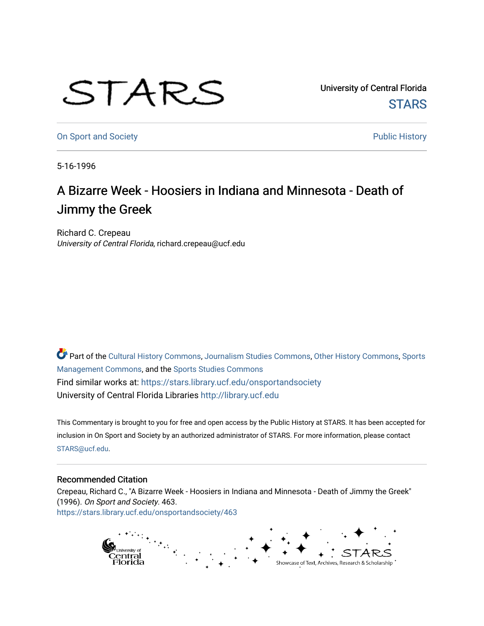## STARS

University of Central Florida **STARS** 

[On Sport and Society](https://stars.library.ucf.edu/onsportandsociety) **Public History** Public History

5-16-1996

## A Bizarre Week - Hoosiers in Indiana and Minnesota - Death of Jimmy the Greek

Richard C. Crepeau University of Central Florida, richard.crepeau@ucf.edu

Part of the [Cultural History Commons](http://network.bepress.com/hgg/discipline/496?utm_source=stars.library.ucf.edu%2Fonsportandsociety%2F463&utm_medium=PDF&utm_campaign=PDFCoverPages), [Journalism Studies Commons,](http://network.bepress.com/hgg/discipline/333?utm_source=stars.library.ucf.edu%2Fonsportandsociety%2F463&utm_medium=PDF&utm_campaign=PDFCoverPages) [Other History Commons,](http://network.bepress.com/hgg/discipline/508?utm_source=stars.library.ucf.edu%2Fonsportandsociety%2F463&utm_medium=PDF&utm_campaign=PDFCoverPages) [Sports](http://network.bepress.com/hgg/discipline/1193?utm_source=stars.library.ucf.edu%2Fonsportandsociety%2F463&utm_medium=PDF&utm_campaign=PDFCoverPages) [Management Commons](http://network.bepress.com/hgg/discipline/1193?utm_source=stars.library.ucf.edu%2Fonsportandsociety%2F463&utm_medium=PDF&utm_campaign=PDFCoverPages), and the [Sports Studies Commons](http://network.bepress.com/hgg/discipline/1198?utm_source=stars.library.ucf.edu%2Fonsportandsociety%2F463&utm_medium=PDF&utm_campaign=PDFCoverPages) Find similar works at: <https://stars.library.ucf.edu/onsportandsociety> University of Central Florida Libraries [http://library.ucf.edu](http://library.ucf.edu/) 

This Commentary is brought to you for free and open access by the Public History at STARS. It has been accepted for inclusion in On Sport and Society by an authorized administrator of STARS. For more information, please contact [STARS@ucf.edu](mailto:STARS@ucf.edu).

## Recommended Citation

Crepeau, Richard C., "A Bizarre Week - Hoosiers in Indiana and Minnesota - Death of Jimmy the Greek" (1996). On Sport and Society. 463. [https://stars.library.ucf.edu/onsportandsociety/463](https://stars.library.ucf.edu/onsportandsociety/463?utm_source=stars.library.ucf.edu%2Fonsportandsociety%2F463&utm_medium=PDF&utm_campaign=PDFCoverPages)

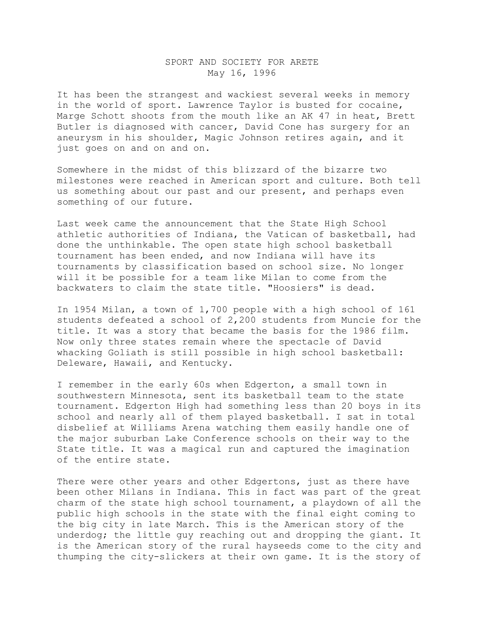## SPORT AND SOCIETY FOR ARETE May 16, 1996

It has been the strangest and wackiest several weeks in memory in the world of sport. Lawrence Taylor is busted for cocaine, Marge Schott shoots from the mouth like an AK 47 in heat, Brett Butler is diagnosed with cancer, David Cone has surgery for an aneurysm in his shoulder, Magic Johnson retires again, and it just goes on and on and on.

Somewhere in the midst of this blizzard of the bizarre two milestones were reached in American sport and culture. Both tell us something about our past and our present, and perhaps even something of our future.

Last week came the announcement that the State High School athletic authorities of Indiana, the Vatican of basketball, had done the unthinkable. The open state high school basketball tournament has been ended, and now Indiana will have its tournaments by classification based on school size. No longer will it be possible for a team like Milan to come from the backwaters to claim the state title. "Hoosiers" is dead.

In 1954 Milan, a town of 1,700 people with a high school of 161 students defeated a school of 2,200 students from Muncie for the title. It was a story that became the basis for the 1986 film. Now only three states remain where the spectacle of David whacking Goliath is still possible in high school basketball: Deleware, Hawaii, and Kentucky.

I remember in the early 60s when Edgerton, a small town in southwestern Minnesota, sent its basketball team to the state tournament. Edgerton High had something less than 20 boys in its school and nearly all of them played basketball. I sat in total disbelief at Williams Arena watching them easily handle one of the major suburban Lake Conference schools on their way to the State title. It was a magical run and captured the imagination of the entire state.

There were other years and other Edgertons, just as there have been other Milans in Indiana. This in fact was part of the great charm of the state high school tournament, a playdown of all the public high schools in the state with the final eight coming to the big city in late March. This is the American story of the underdog; the little guy reaching out and dropping the giant. It is the American story of the rural hayseeds come to the city and thumping the city-slickers at their own game. It is the story of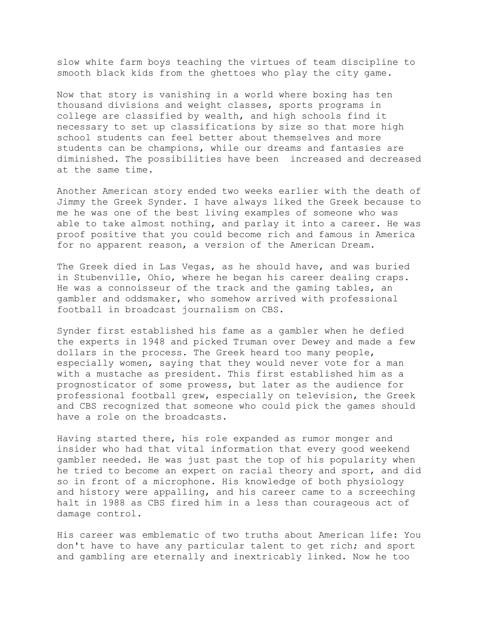slow white farm boys teaching the virtues of team discipline to smooth black kids from the ghettoes who play the city game.

Now that story is vanishing in a world where boxing has ten thousand divisions and weight classes, sports programs in college are classified by wealth, and high schools find it necessary to set up classifications by size so that more high school students can feel better about themselves and more students can be champions, while our dreams and fantasies are diminished. The possibilities have been increased and decreased at the same time.

Another American story ended two weeks earlier with the death of Jimmy the Greek Synder. I have always liked the Greek because to me he was one of the best living examples of someone who was able to take almost nothing, and parlay it into a career. He was proof positive that you could become rich and famous in America for no apparent reason, a version of the American Dream.

The Greek died in Las Vegas, as he should have, and was buried in Stubenville, Ohio, where he began his career dealing craps. He was a connoisseur of the track and the gaming tables, an gambler and oddsmaker, who somehow arrived with professional football in broadcast journalism on CBS.

Synder first established his fame as a gambler when he defied the experts in 1948 and picked Truman over Dewey and made a few dollars in the process. The Greek heard too many people, especially women, saying that they would never vote for a man with a mustache as president. This first established him as a prognosticator of some prowess, but later as the audience for professional football grew, especially on television, the Greek and CBS recognized that someone who could pick the games should have a role on the broadcasts.

Having started there, his role expanded as rumor monger and insider who had that vital information that every good weekend gambler needed. He was just past the top of his popularity when he tried to become an expert on racial theory and sport, and did so in front of a microphone. His knowledge of both physiology and history were appalling, and his career came to a screeching halt in 1988 as CBS fired him in a less than courageous act of damage control.

His career was emblematic of two truths about American life: You don't have to have any particular talent to get rich; and sport and gambling are eternally and inextricably linked. Now he too